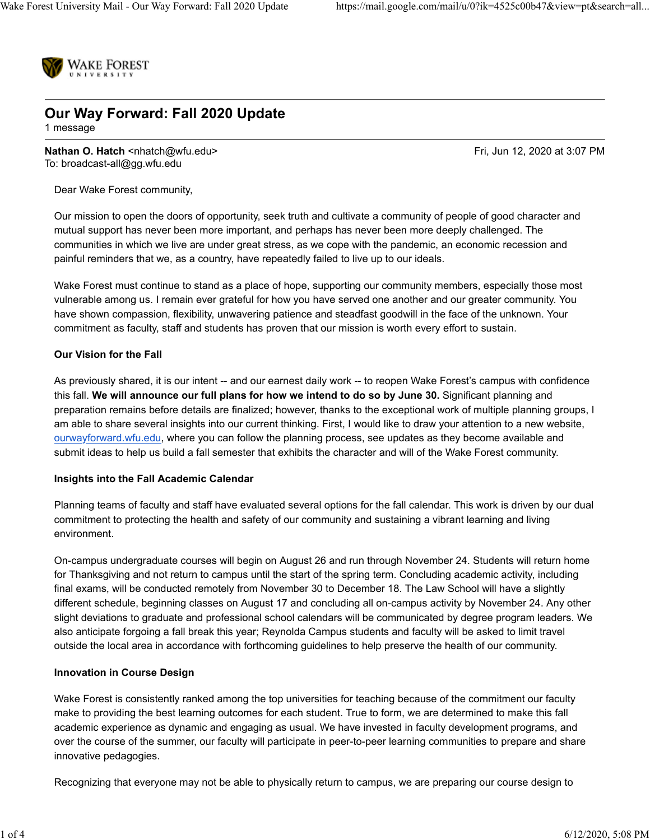

# **Our Way Forward: Fall 2020 Update**

1 message

**Nathan O. Hatch <nhatch@wfu.edu> Fri, Jun 12, 2020 at 3:07 PM** To: broadcast-all@gg.wfu.edu

Dear Wake Forest community,

Our mission to open the doors of opportunity, seek truth and cultivate a community of people of good character and mutual support has never been more important, and perhaps has never been more deeply challenged. The communities in which we live are under great stress, as we cope with the pandemic, an economic recession and painful reminders that we, as a country, have repeatedly failed to live up to our ideals.

Wake Forest must continue to stand as a place of hope, supporting our community members, especially those most vulnerable among us. I remain ever grateful for how you have served one another and our greater community. You have shown compassion, flexibility, unwavering patience and steadfast goodwill in the face of the unknown. Your commitment as faculty, staff and students has proven that our mission is worth every effort to sustain.

#### **Our Vision for the Fall**

As previously shared, it is our intent -- and our earnest daily work -- to reopen Wake Forest's campus with confidence this fall. **We will announce our full plans for how we intend to do so by June 30.** Significant planning and preparation remains before details are finalized; however, thanks to the exceptional work of multiple planning groups, I am able to share several insights into our current thinking. First, I would like to draw your attention to a new website, ourwayforward.wfu.edu, where you can follow the planning process, see updates as they become available and submit ideas to help us build a fall semester that exhibits the character and will of the Wake Forest community.

#### **Insights into the Fall Academic Calendar**

Planning teams of faculty and staff have evaluated several options for the fall calendar. This work is driven by our dual commitment to protecting the health and safety of our community and sustaining a vibrant learning and living environment.

On-campus undergraduate courses will begin on August 26 and run through November 24. Students will return home for Thanksgiving and not return to campus until the start of the spring term. Concluding academic activity, including final exams, will be conducted remotely from November 30 to December 18. The Law School will have a slightly different schedule, beginning classes on August 17 and concluding all on-campus activity by November 24. Any other slight deviations to graduate and professional school calendars will be communicated by degree program leaders. We also anticipate forgoing a fall break this year; Reynolda Campus students and faculty will be asked to limit travel outside the local area in accordance with forthcoming guidelines to help preserve the health of our community.

#### **Innovation in Course Design**

Wake Forest is consistently ranked among the top universities for teaching because of the commitment our faculty make to providing the best learning outcomes for each student. True to form, we are determined to make this fall academic experience as dynamic and engaging as usual. We have invested in faculty development programs, and over the course of the summer, our faculty will participate in peer-to-peer learning communities to prepare and share innovative pedagogies.

Recognizing that everyone may not be able to physically return to campus, we are preparing our course design to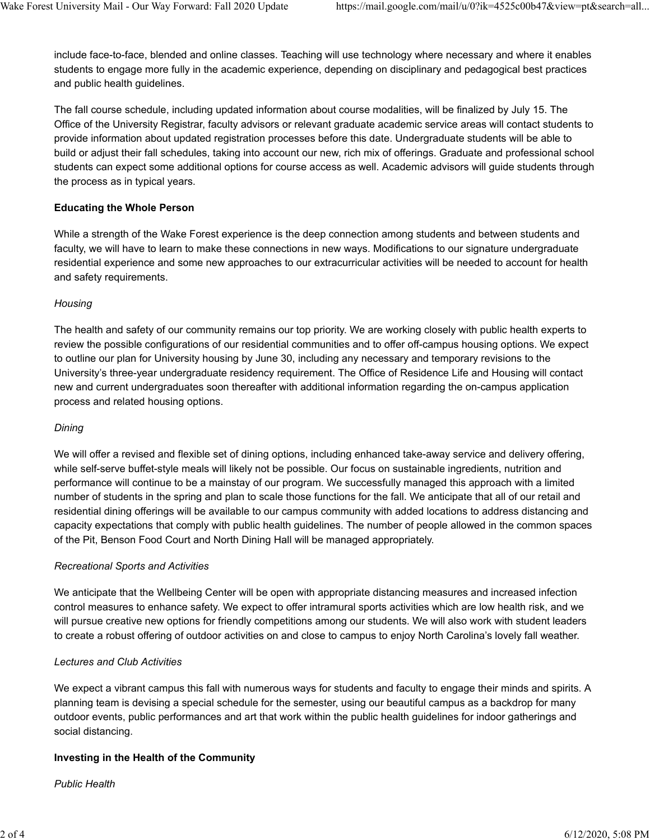include face-to-face, blended and online classes. Teaching will use technology where necessary and where it enables students to engage more fully in the academic experience, depending on disciplinary and pedagogical best practices and public health guidelines.

The fall course schedule, including updated information about course modalities, will be finalized by July 15. The Office of the University Registrar, faculty advisors or relevant graduate academic service areas will contact students to provide information about updated registration processes before this date. Undergraduate students will be able to build or adjust their fall schedules, taking into account our new, rich mix of offerings. Graduate and professional school students can expect some additional options for course access as well. Academic advisors will guide students through the process as in typical years.

## **Educating the Whole Person**

While a strength of the Wake Forest experience is the deep connection among students and between students and faculty, we will have to learn to make these connections in new ways. Modifications to our signature undergraduate residential experience and some new approaches to our extracurricular activities will be needed to account for health and safety requirements.

#### *Housing*

The health and safety of our community remains our top priority. We are working closely with public health experts to review the possible configurations of our residential communities and to offer off-campus housing options. We expect to outline our plan for University housing by June 30, including any necessary and temporary revisions to the University's three-year undergraduate residency requirement. The Office of Residence Life and Housing will contact new and current undergraduates soon thereafter with additional information regarding the on-campus application process and related housing options.

## *Dining*

We will offer a revised and flexible set of dining options, including enhanced take-away service and delivery offering, while self-serve buffet-style meals will likely not be possible. Our focus on sustainable ingredients, nutrition and performance will continue to be a mainstay of our program. We successfully managed this approach with a limited number of students in the spring and plan to scale those functions for the fall. We anticipate that all of our retail and residential dining offerings will be available to our campus community with added locations to address distancing and capacity expectations that comply with public health guidelines. The number of people allowed in the common spaces of the Pit, Benson Food Court and North Dining Hall will be managed appropriately.

## *Recreational Sports and Activities*

We anticipate that the Wellbeing Center will be open with appropriate distancing measures and increased infection control measures to enhance safety. We expect to offer intramural sports activities which are low health risk, and we will pursue creative new options for friendly competitions among our students. We will also work with student leaders to create a robust offering of outdoor activities on and close to campus to enjoy North Carolina's lovely fall weather.

## *Lectures and Club Activities*

We expect a vibrant campus this fall with numerous ways for students and faculty to engage their minds and spirits. A planning team is devising a special schedule for the semester, using our beautiful campus as a backdrop for many outdoor events, public performances and art that work within the public health guidelines for indoor gatherings and social distancing.

## **Investing in the Health of the Community**

*Public Health*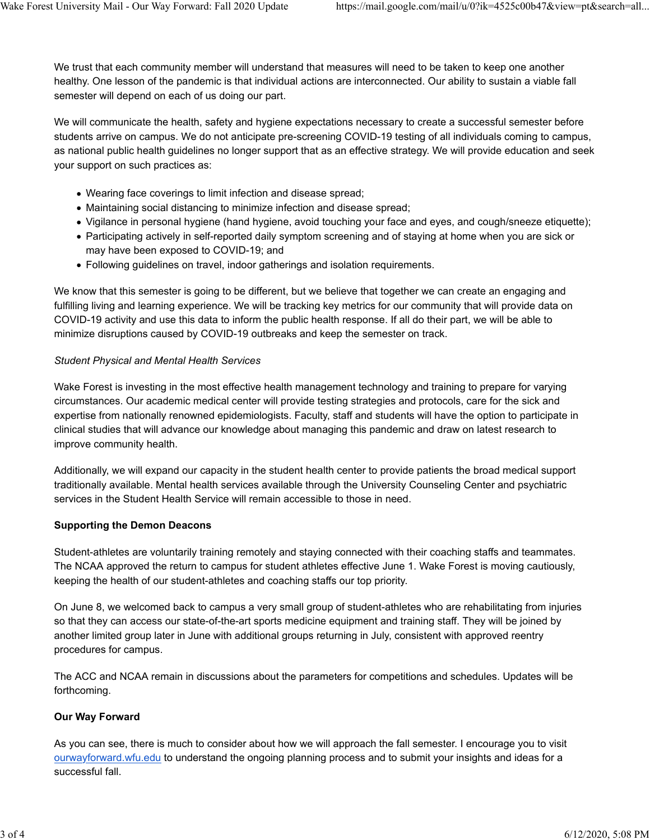We trust that each community member will understand that measures will need to be taken to keep one another healthy. One lesson of the pandemic is that individual actions are interconnected. Our ability to sustain a viable fall semester will depend on each of us doing our part.

We will communicate the health, safety and hygiene expectations necessary to create a successful semester before students arrive on campus. We do not anticipate pre-screening COVID-19 testing of all individuals coming to campus, as national public health guidelines no longer support that as an effective strategy. We will provide education and seek your support on such practices as:

- Wearing face coverings to limit infection and disease spread;
- Maintaining social distancing to minimize infection and disease spread;
- Vigilance in personal hygiene (hand hygiene, avoid touching your face and eyes, and cough/sneeze etiquette);
- Participating actively in self-reported daily symptom screening and of staying at home when you are sick or may have been exposed to COVID-19; and
- Following guidelines on travel, indoor gatherings and isolation requirements.

We know that this semester is going to be different, but we believe that together we can create an engaging and fulfilling living and learning experience. We will be tracking key metrics for our community that will provide data on COVID-19 activity and use this data to inform the public health response. If all do their part, we will be able to minimize disruptions caused by COVID-19 outbreaks and keep the semester on track.

## *Student Physical and Mental Health Services*

Wake Forest is investing in the most effective health management technology and training to prepare for varying circumstances. Our academic medical center will provide testing strategies and protocols, care for the sick and expertise from nationally renowned epidemiologists. Faculty, staff and students will have the option to participate in clinical studies that will advance our knowledge about managing this pandemic and draw on latest research to improve community health.

Additionally, we will expand our capacity in the student health center to provide patients the broad medical support traditionally available. Mental health services available through the University Counseling Center and psychiatric services in the Student Health Service will remain accessible to those in need.

## **Supporting the Demon Deacons**

Student-athletes are voluntarily training remotely and staying connected with their coaching staffs and teammates. The NCAA approved the return to campus for student athletes effective June 1. Wake Forest is moving cautiously, keeping the health of our student-athletes and coaching staffs our top priority.

On June 8, we welcomed back to campus a very small group of student-athletes who are rehabilitating from injuries so that they can access our state-of-the-art sports medicine equipment and training staff. They will be joined by another limited group later in June with additional groups returning in July, consistent with approved reentry procedures for campus.

The ACC and NCAA remain in discussions about the parameters for competitions and schedules. Updates will be forthcoming.

## **Our Way Forward**

As you can see, there is much to consider about how we will approach the fall semester. I encourage you to visit ourwayforward.wfu.edu to understand the ongoing planning process and to submit your insights and ideas for a successful fall.